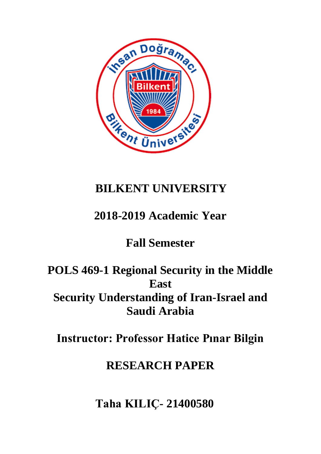

# **BILKENT UNIVERSITY**

### **2018-2019 Academic Year**

## **Fall Semester**

### **POLS 469-1 Regional Security in the Middle East Security Understanding of Iran-Israel and Saudi Arabia**

**Instructor: Professor Hatice Pınar Bilgin**

#### **RESEARCH PAPER**

**Taha KILIÇ- 21400580**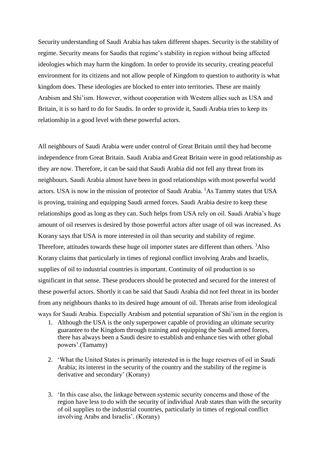Security understanding of Saudi Arabia has taken different shapes. Security is the stability of regime. Security means for Saudis that regime's stability in region without being affected ideologies which may harm the kingdom. In order to provide its security, creating peaceful environment for its citizens and not allow people of Kingdom to question to authority is what kingdom does. These ideologies are blocked to enter into territories. These are mainly Arabism and Shi'ism. However, without cooperation with Western allies such as USA and Britain, it is so hard to do for Saudis. In order to provide it, Saudi Arabia tries to keep its relationship in a good level with these powerful actors.

All neighbours of Saudi Arabia were under control of Great Britain until they had become independence from Great Britain. Saudi Arabia and Great Britain were in good relationship as they are now. Therefore, it can be said that Saudi Arabia did not fell any threat from its neighbours. Saudi Arabia almost have been in good relationships with most powerful world actors. USA is now in the mission of protector of Saudi Arabia. <sup>1</sup>As Tammy states that USA is proving, training and equipping Saudi armed forces. Saudi Arabia desire to keep these relationships good as long as they can. Such helps from USA rely on oil. Saudi Arabia's huge amount of oil reserves is desired by those powerful actors after usage of oil was increased. As Korany says that USA is more interested in oil than security and stability of regime. Therefore, attitudes towards these huge oil importer states are different than others. <sup>3</sup>Also Korany claims that particularly in times of regional conflict involving Arabs and Israelis, supplies of oil to industrial countries is important. Continuity of oil production is so significant in that sense. These producers should be protected and secured for the interest of these powerful actors. Shortly it can be said that Saudi Arabia did not feel threat in its border from any neighbours thanks to its desired huge amount of oil. Threats arise from ideological ways for Saudi Arabia. Especially Arabism and potential separation of Shi'ism in the region is

- 1. Although the USA is the only superpower capable of providing an ultimate security guarantee to the Kingdom through training and equipping the Saudi armed forces, there has always been a Saudi desire to establish and enhance ties with other global powers'.(Tamamy)
- 2. 'What the United States is primarily interested in is the huge reserves of oil in Saudi Arabia; its interest in the security of the country and the stability of the regime is derivative and secondary' (Korany)
- 3. 'In this case also, the linkage between systemic security concerns and those of the region have less to do with the security of individual Arab states than with the security of oil supplies to the industrial countries, particularly in times of regional conflict involving Arabs and Israelis'. (Korany)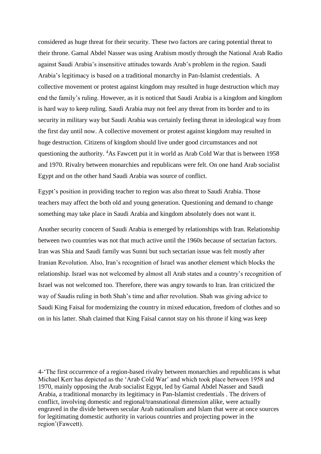considered as huge threat for their security. These two factors are caring potential threat to their throne. Gamal Abdel Nasser was using Arabism mostly through the National Arab Radio against Saudi Arabia's insensitive attitudes towards Arab's problem in the region. Saudi Arabia's legitimacy is based on a traditional monarchy in Pan-Islamist credentials. A collective movement or protest against kingdom may resulted in huge destruction which may end the family's ruling. However, as it is noticed that Saudi Arabia is a kingdom and kingdom is hard way to keep ruling. Saudi Arabia may not feel any threat from its border and to its security in military way but Saudi Arabia was certainly feeling threat in ideological way from the first day until now. A collective movement or protest against kingdom may resulted in huge destruction. Citizens of kingdom should live under good circumstances and not questioning the authority. <sup>4</sup>As Fawcett put it in world as Arab Cold War that is between 1958 and 1970. Rivalry between monarchies and republicans were felt. On one hand Arab socialist Egypt and on the other hand Saudi Arabia was source of conflict.

Egypt's position in providing teacher to region was also threat to Saudi Arabia. Those teachers may affect the both old and young generation. Questioning and demand to change something may take place in Saudi Arabia and kingdom absolutely does not want it.

Another security concern of Saudi Arabia is emerged by relationships with Iran. Relationship between two countries was not that much active until the 1960s because of sectarian factors. Iran was Shia and Saudi family was Sunni but such sectarian issue was felt mostly after Iranian Revolution. Also, Iran's recognition of Israel was another element which blocks the relationship. Israel was not welcomed by almost all Arab states and a country's recognition of Israel was not welcomed too. Therefore, there was angry towards to Iran. Iran criticized the way of Saudis ruling in both Shah's time and after revolution. Shah was giving advice to Saudi King Faisal for modernizing the country in mixed education, freedom of clothes and so on in his latter. Shah claimed that King Faisal cannot stay on his throne if king was keep

4-'The first occurrence of a region-based rivalry between monarchies and republicans is what Michael Kerr has depicted as the 'Arab Cold War' and which took place between 1958 and 1970, mainly opposing the Arab socialist Egypt, led by Gamal Abdel Nasser and Saudi Arabia, a traditional monarchy its legitimacy in Pan-Islamist credentials . The drivers of conflict, involving domestic and regional/transnational dimension alike, were actually engraved in the divide between secular Arab nationalism and Islam that were at once sources for legitimating domestic authority in various countries and projecting power in the region'(Fawcett).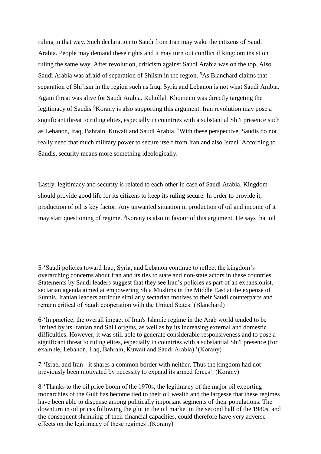ruling in that way. Such declaration to Saudi from Iran may wake the citizens of Saudi Arabia. People may demand these rights and it may turn out conflict if kingdom insist on ruling the same way. After revolution, criticism against Saudi Arabia was on the top. Also Saudi Arabia was afraid of separation of Shiism in the region. <sup>5</sup>As Blanchard claims that separation of Shi'ism in the region such as Iraq, Syria and Lebanon is not what Saudi Arabia. Again threat was alive for Saudi Arabia. Ruhollah Khomeini was directly targeting the legitimacy of Saudis<sup>. 6</sup>Korany is also supporting this argument. Iran revolution may pose a significant threat to ruling elites, especially in countries with a substantial Shi'i presence such as Lebanon, Iraq, Bahrain, Kuwait and Saudi Arabia. <sup>7</sup>With these perspective, Saudis do not really need that much military power to secure itself from Iran and also Israel. According to Saudis, security means more something ideologically.

Lastly, legitimacy and security is related to each other in case of Saudi Arabia. Kingdom should provide good life for its citizens to keep its ruling secure. In order to provide it, production of oil is key factor. Any unwanted situation in production of oil and income of it may start questioning of regime. <sup>8</sup>Korany is also in favour of this argument. He says that oil

5-'Saudi policies toward Iraq, Syria, and Lebanon continue to reflect the kingdom's overarching concerns about Iran and its ties to state and non-state actors in these countries. Statements by Saudi leaders suggest that they see Iran's policies as part of an expansionist, sectarian agenda aimed at empowering Shia Muslims in the Middle East at the expense of Sunnis. Iranian leaders attribute similarly sectarian motives to their Saudi counterparts and remain critical of Saudi cooperation with the United States.'(Blanchard)

6-'In practice, the overall impact of Iran's Islamic regime in the Arab world tended to be limited by its Iranian and Shi'i origins, as well as by its increasing external and domestic difficulties. However, it was still able to generate considerable responsiveness and to pose a significant threat to ruling elites, especially in countries with a substantial Shi'i presence (for example, Lebanon, Iraq, Bahrain, Kuwait and Saudi Arabia).'(Korany)

7-'Israel and Iran - it shares a common border with neither. Thus the kingdom had not previously been motivated by necessity to expand its armed forces'. (Korany)

8-'Thanks to the oil price boom of the 1970s, the legitimacy of the major oil exporting monarchies of the Gulf has become tied to their oil wealth and the largesse that these regimes have been able to dispense among politically important segments of their populations. The downturn in oil prices following the glut in the oil market in the second half of the 1980s, and the consequent shrinking of their financial capacities, could therefore have very adverse effects on the legitimacy of these regimes'.(Korany)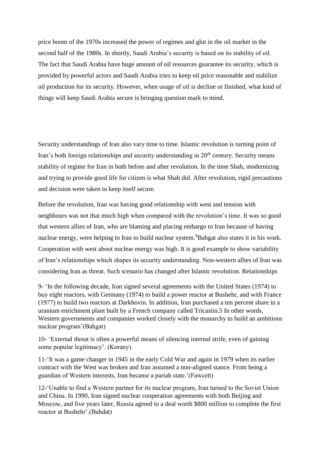price boom of the 1970s increased the power of regimes and glut in the oil market in the second half of the 1980s. In shortly, Saudi Arabia's security is based on its stability of oil. The fact that Saudi Arabia have huge amount of oil resources guarantee its security, which is provided by powerful actors and Saudi Arabia tries to keep oil price reasonable and stabilize oil production for its security. However, when usage of oil is decline or finished, what kind of things will keep Saudi Arabia secure is bringing question mark to mind.

Security understandings of Iran also vary time to time. Islamic revolution is turning point of Iran's both foreign relationships and security understanding in 20<sup>th</sup> century. Security means stability of regime for Iran in both before and after revolution. In the time Shah, modernizing and trying to provide good life for citizen is what Shah did. After revolution, rigid precautions and decision were taken to keep itself secure.

Before the revolution, Iran was having good relationship with west and tension with neighbours was not that much high when compared with the revolution's time. It was so good that western allies of Iran, who are blaming and placing embargo to Iran because of having nuclear energy, were helping to Iran to build nuclear system. <sup>9</sup>Bahgat also states it in his work. Cooperation with west about nuclear energy was high. It is good example to show variability of Iran's relationships which shapes its security understanding. Non-western allies of Iran was considering Iran as threat. Such scenario has changed after Islamic revolution. Relationships

9- 'In the following decade, Iran signed several agreements with the United States (1974) to buy eight reactors, with Germany (1974) to build a power reactor at Bushehr, and with France (1977) to build two reactors at Darkhovin. In addition, Iran purchased a ten percent share in a uranium enrichment plant built by a French company called Tricastin.5 In other words, Western governments and companies worked closely with the monarchy to build an ambitious nuclear program'(Bahgat)

10- 'External threat is often a powerful means of silencing internal strife, even of gaining some popular legitimacy'. (Korany).

11-'It was a game changer in 1945 in the early Cold War and again in 1979 when its earlier contract with the West was broken and Iran assumed a non-aligned stance. From being a guardian of Western interests, Iran became a pariah state.'(Fawcett)

12-'Unable to find a Western partner for its nuclear program, Iran turned to the Soviet Union and China. In 1990, Iran signed nuclear cooperation agreements with both Beijing and Moscow, and five years later, Russia agreed to a deal worth \$800 million to complete the first reactor at Bushehr'.(Bahdat)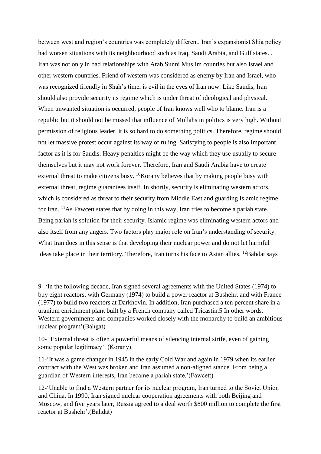between west and region's countries was completely different. Iran's expansionist Shia policy had worsen situations with its neighbourhood such as Iraq, Saudi Arabia, and Gulf states. . Iran was not only in bad relationships with Arab Sunni Muslim counties but also Israel and other western countries. Friend of western was considered as enemy by Iran and Israel, who was recognized friendly in Shah's time, is evil in the eyes of Iran now. Like Saudis, Iran should also provide security its regime which is under threat of ideological and physical. When unwanted situation is occurred, people of Iran knows well who to blame. Iran is a republic but it should not be missed that influence of Mullahs in politics is very high. Without permission of religious leader, it is so hard to do something politics. Therefore, regime should not let massive protest occur against its way of ruling. Satisfying to people is also important factor as it is for Saudis. Heavy penalties might be the way which they use usually to secure themselves but it may not work forever. Therefore, Iran and Saudi Arabia have to create external threat to make citizens busy. <sup>10</sup>Korany believes that by making people busy with external threat, regime guarantees itself. In shortly, security is eliminating western actors, which is considered as threat to their security from Middle East and guarding Islamic regime for Iran. <sup>11</sup>As Fawcett states that by doing in this way, Iran tries to become a pariah state. Being pariah is solution for their security. Islamic regime was eliminating western actors and also itself from any angers. Two factors play major role on Iran's understanding of security. What Iran does in this sense is that developing their nuclear power and do not let harmful ideas take place in their territory. Therefore, Iran turns his face to Asian allies. <sup>12</sup>Bahdat says

9- 'In the following decade, Iran signed several agreements with the United States (1974) to buy eight reactors, with Germany (1974) to build a power reactor at Bushehr, and with France (1977) to build two reactors at Darkhovin. In addition, Iran purchased a ten percent share in a uranium enrichment plant built by a French company called Tricastin.5 In other words, Western governments and companies worked closely with the monarchy to build an ambitious nuclear program'(Bahgat)

10- 'External threat is often a powerful means of silencing internal strife, even of gaining some popular legitimacy'. (Korany).

11-'It was a game changer in 1945 in the early Cold War and again in 1979 when its earlier contract with the West was broken and Iran assumed a non-aligned stance. From being a guardian of Western interests, Iran became a pariah state.'(Fawcett)

12-'Unable to find a Western partner for its nuclear program, Iran turned to the Soviet Union and China. In 1990, Iran signed nuclear cooperation agreements with both Beijing and Moscow, and five years later, Russia agreed to a deal worth \$800 million to complete the first reactor at Bushehr'.(Bahdat)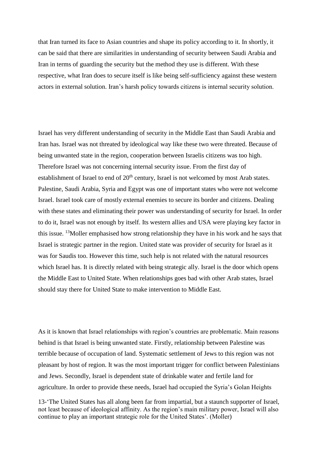that Iran turned its face to Asian countries and shape its policy according to it. In shortly, it can be said that there are similarities in understanding of security between Saudi Arabia and Iran in terms of guarding the security but the method they use is different. With these respective, what Iran does to secure itself is like being self-sufficiency against these western actors in external solution. Iran's harsh policy towards citizens is internal security solution.

Israel has very different understanding of security in the Middle East than Saudi Arabia and Iran has. Israel was not threated by ideological way like these two were threated. Because of being unwanted state in the region, cooperation between Israelis citizens was too high. Therefore Israel was not concerning internal security issue. From the first day of establishment of Israel to end of  $20<sup>th</sup>$  century, Israel is not welcomed by most Arab states. Palestine, Saudi Arabia, Syria and Egypt was one of important states who were not welcome Israel. Israel took care of mostly external enemies to secure its border and citizens. Dealing with these states and eliminating their power was understanding of security for Israel. In order to do it, Israel was not enough by itself. Its western allies and USA were playing key factor in this issue. <sup>13</sup>Moller emphasised how strong relationship they have in his work and he says that Israel is strategic partner in the region. United state was provider of security for Israel as it was for Saudis too. However this time, such help is not related with the natural resources which Israel has. It is directly related with being strategic ally. Israel is the door which opens the Middle East to United State. When relationships goes bad with other Arab states, Israel should stay there for United State to make intervention to Middle East.

As it is known that Israel relationships with region's countries are problematic. Main reasons behind is that Israel is being unwanted state. Firstly, relationship between Palestine was terrible because of occupation of land. Systematic settlement of Jews to this region was not pleasant by host of region. It was the most important trigger for conflict between Palestinians and Jews. Secondly, Israel is dependent state of drinkable water and fertile land for agriculture. In order to provide these needs, Israel had occupied the Syria's Golan Heights

13-'The United States has all along been far from impartial, but a staunch supporter of Israel, not least because of ideological affinity. As the region's main military power, Israel will also continue to play an important strategic role for the United States'. (Moller)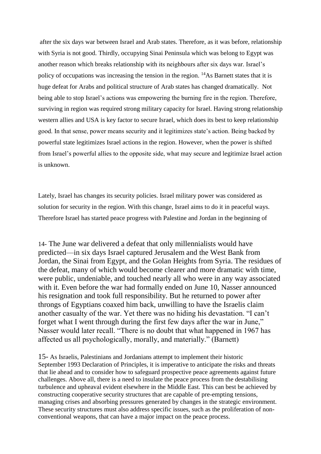after the six days war between Israel and Arab states. Therefore, as it was before, relationship with Syria is not good. Thirdly, occupying Sinai Peninsula which was belong to Egypt was another reason which breaks relationship with its neighbours after six days war. Israel's policy of occupations was increasing the tension in the region. <sup>14</sup>As Barnett states that it is huge defeat for Arabs and political structure of Arab states has changed dramatically. Not being able to stop Israel's actions was empowering the burning fire in the region. Therefore, surviving in region was required strong military capacity for Israel. Having strong relationship western allies and USA is key factor to secure Israel, which does its best to keep relationship good. In that sense, power means security and it legitimizes state's action. Being backed by powerful state legitimizes Israel actions in the region. However, when the power is shifted from Israel's powerful allies to the opposite side, what may secure and legitimize Israel action is unknown.

Lately, Israel has changes its security policies. Israel military power was considered as solution for security in the region. With this change, Israel aims to do it in peaceful ways. Therefore Israel has started peace progress with Palestine and Jordan in the beginning of

14- The June war delivered a defeat that only millennialists would have predicted—in six days Israel captured Jerusalem and the West Bank from Jordan, the Sinai from Egypt, and the Golan Heights from Syria. The residues of the defeat, many of which would become clearer and more dramatic with time, were public, undeniable, and touched nearly all who were in any way associated with it. Even before the war had formally ended on June 10, Nasser announced his resignation and took full responsibility. But he returned to power after throngs of Egyptians coaxed him back, unwilling to have the Israelis claim another casualty of the war. Yet there was no hiding his devastation. "I can't forget what I went through during the first few days after the war in June," Nasser would later recall. "There is no doubt that what happened in 1967 has affected us all psychologically, morally, and materially." (Barnett)

15- As Israelis, Palestinians and Jordanians attempt to implement their historic September 1993 Declaration of Principles, it is imperative to anticipate the risks and threats that lie ahead and to consider how to safeguard prospective peace agreements against future challenges. Above all, there is a need to insulate the peace process from the destabilising turbulence and upheaval evident elsewhere in the Middle East. This can best be achieved by constructing cooperative security structures that are capable of pre-empting tensions, managing crises and absorbing pressures generated by changes in the strategic environment. These security structures must also address specific issues, such as the proliferation of nonconventional weapons, that can have a major impact on the peace process.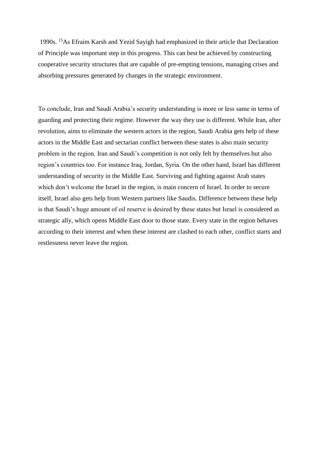1990s. <sup>15</sup>As Efraim Karsh and Yezid Sayigh had emphasized in their article that Declaration of Principle was important step in this progress. This can best be achieved by constructing cooperative security structures that are capable of pre-empting tensions, managing crises and absorbing pressures generated by changes in the strategic environment.

To conclude, Iran and Saudi Arabia's security understanding is more or less same in terms of guarding and protecting their regime. However the way they use is different. While Iran, after revolution, aims to eliminate the western actors in the region, Saudi Arabia gets help of these actors in the Middle East and sectarian conflict between these states is also main security problem in the region. Iran and Saudi's competition is not only felt by themselves but also region's countries too. For instance Iraq, Jordan, Syria. On the other hand, Israel has different understanding of security in the Middle East. Surviving and fighting against Arab states which don't welcome the Israel in the region, is main concern of Israel. In order to secure itself, Israel also gets help from Western partners like Saudis. Difference between these help is that Saudi's huge amount of oil reserve is desired by these states but Israel is considered as strategic ally, which opens Middle East door to those state. Every state in the region behaves according to their interest and when these interest are clashed to each other, conflict starts and restlessness never leave the region.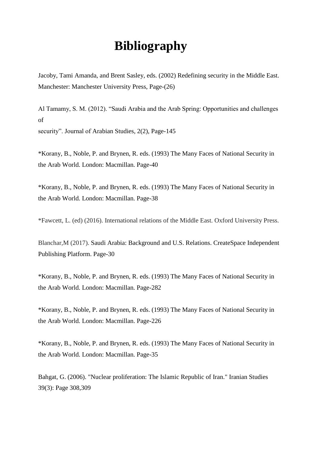#### **Bibliography**

Jacoby, Tami Amanda, and Brent Sasley, eds. (2002) Redefining security in the Middle East. Manchester: Manchester University Press, Page-(26)

Al Tamamy, S. M. (2012). "Saudi Arabia and the Arab Spring: Opportunities and challenges of

security". Journal of Arabian Studies, 2(2), Page-145

\*Korany, B., Noble, P. and Brynen, R. eds. (1993) The Many Faces of National Security in the Arab World. London: Macmillan. Page-40

\*Korany, B., Noble, P. and Brynen, R. eds. (1993) The Many Faces of National Security in the Arab World. London: Macmillan. Page-38

\*Fawcett, L. (ed) (2016). International relations of the Middle East. Oxford University Press.

Blanchar,M (2017). Saudi Arabia: Background and U.S. Relations. CreateSpace Independent Publishing Platform. Page-30

\*Korany, B., Noble, P. and Brynen, R. eds. (1993) The Many Faces of National Security in the Arab World. London: Macmillan. Page-282

\*Korany, B., Noble, P. and Brynen, R. eds. (1993) The Many Faces of National Security in the Arab World. London: Macmillan. Page-226

\*Korany, B., Noble, P. and Brynen, R. eds. (1993) The Many Faces of National Security in the Arab World. London: Macmillan. Page-35

Bahgat, G. (2006). "Nuclear proliferation: The Islamic Republic of Iran." Iranian Studies 39(3): Page 308,309